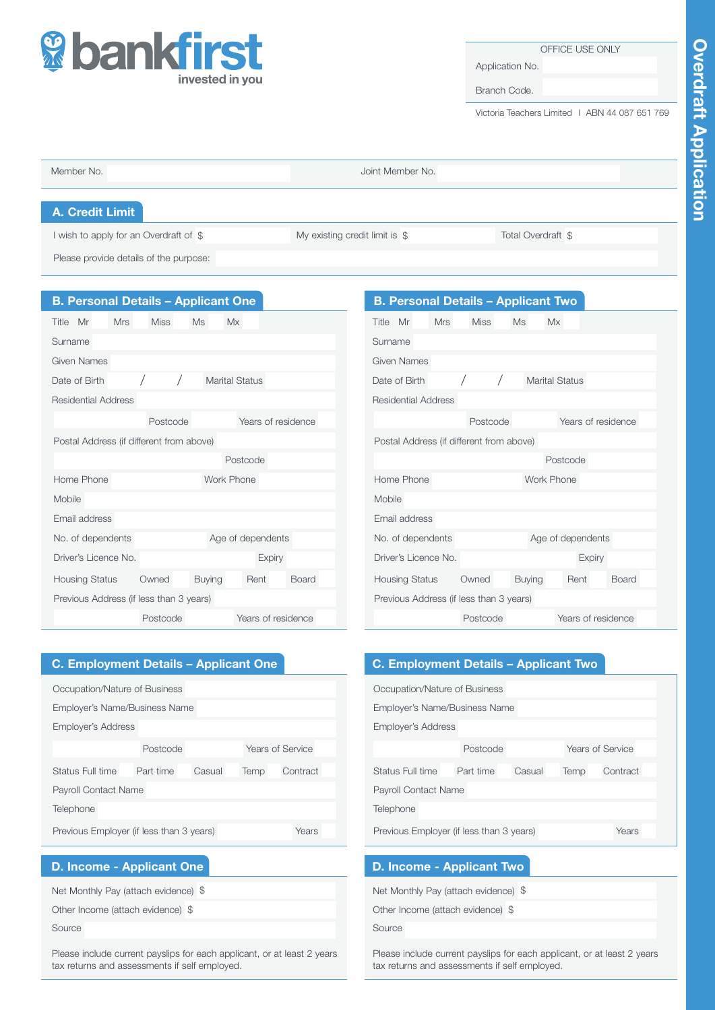

### OFFICE USE ONLY

Application No.

Branch Code.

Victoria Teachers Limited I ABN 44 087 651 769

| Member No.                             | Joint Member No.               |                    |
|----------------------------------------|--------------------------------|--------------------|
| A. Credit Limit                        |                                |                    |
| I wish to apply for an Overdraft of \$ | My existing credit limit is \$ | Total Overdraft \$ |
| Please provide details of the purpose: |                                |                    |

| <b>B. Personal Details - Applicant One</b> |             |               |                      |
|--------------------------------------------|-------------|---------------|----------------------|
| Title Mr<br><b>Mrs</b>                     | <b>Miss</b> | <b>Ms</b>     | Mx                   |
| Surname                                    |             |               |                      |
| Given Names                                |             |               |                      |
| Date of Birth                              |             |               | Marital Status       |
| Residential Address                        |             |               |                      |
|                                            | Postcode    |               | Years of residence   |
| Postal Address (if different from above)   |             |               |                      |
|                                            |             |               | Postcode             |
| Home Phone                                 |             | Work Phone    |                      |
| Mobile                                     |             |               |                      |
| Email address                              |             |               |                      |
| No. of dependents                          |             |               | Age of dependents    |
| Driver's Licence No.                       |             |               | <b>Expiry</b>        |
| Housing Status                             | Owned       | <b>Buying</b> | <b>Board</b><br>Rent |
| Previous Address (if less than 3 years)    |             |               |                      |
|                                            | Postcode    |               | Years of residence   |

|               |                      |            | <b>B. Personal Details - Applicant Two</b> |    |               |                       |                    |              |
|---------------|----------------------|------------|--------------------------------------------|----|---------------|-----------------------|--------------------|--------------|
| Title Mr      |                      | <b>Mrs</b> | <b>Miss</b>                                | Ms |               | <b>Mx</b>             |                    |              |
| Surname       |                      |            |                                            |    |               |                       |                    |              |
| Given Names   |                      |            |                                            |    |               |                       |                    |              |
| Date of Birth |                      |            |                                            |    |               | <b>Marital Status</b> |                    |              |
|               | Residential Address  |            |                                            |    |               |                       |                    |              |
|               |                      |            | Postcode                                   |    |               |                       | Years of residence |              |
|               |                      |            | Postal Address (if different from above)   |    |               |                       |                    |              |
|               |                      |            |                                            |    |               | Postcode              |                    |              |
|               | Home Phone           |            |                                            |    |               | Work Phone            |                    |              |
| Mobile        |                      |            |                                            |    |               |                       |                    |              |
|               | Email address        |            |                                            |    |               |                       |                    |              |
|               | No. of dependents    |            |                                            |    |               |                       | Age of dependents  |              |
|               | Driver's Licence No. |            |                                            |    |               |                       | <b>Expiry</b>      |              |
|               |                      |            | Housing Status Owned                       |    | <b>Buying</b> |                       | Rent               | <b>Board</b> |
|               |                      |            | Previous Address (if less than 3 years)    |    |               |                       |                    |              |
|               |                      |            | Postcode                                   |    |               |                       | Years of residence |              |

# C. Employment Details – Applicant One

| Occupation/Nature of Business                               |                             |  |  |  |  |  |
|-------------------------------------------------------------|-----------------------------|--|--|--|--|--|
| Employer's Name/Business Name                               |                             |  |  |  |  |  |
| <b>Employer's Address</b>                                   |                             |  |  |  |  |  |
| Years of Service<br>Postcode                                |                             |  |  |  |  |  |
| Status Full time<br>Part time<br>Casual<br>Contract<br>Temp |                             |  |  |  |  |  |
|                                                             | <b>Payroll Contact Name</b> |  |  |  |  |  |
| Telephone                                                   |                             |  |  |  |  |  |
| Previous Employer (if less than 3 years)<br>Years           |                             |  |  |  |  |  |

# D. Income - Applicant One

Net Monthly Pay (attach evidence) \$

Other Income (attach evidence) \$

Source

Please include current payslips for each applicant, or at least 2 years tax returns and assessments if self employed.

# C. Employment Details – Applicant Two

| Occupation/Nature of Business            |        |      |          |       |  |  |  |
|------------------------------------------|--------|------|----------|-------|--|--|--|
| Employer's Name/Business Name            |        |      |          |       |  |  |  |
| <b>Employer's Address</b>                |        |      |          |       |  |  |  |
| Years of Service<br>Postcode             |        |      |          |       |  |  |  |
| Part time<br>Status Full time            | Casual | Temp | Contract |       |  |  |  |
| Payroll Contact Name                     |        |      |          |       |  |  |  |
| Telephone                                |        |      |          |       |  |  |  |
| Previous Employer (if less than 3 years) |        |      |          | Years |  |  |  |

## D. Income - Applicant Two

| Net Monthly Pay (attach evidence) \$ |  |
|--------------------------------------|--|
| Other Income (attach evidence) \$    |  |
| Source                               |  |

Please include current payslips for each applicant, or at least 2 years tax returns and assessments if self employed.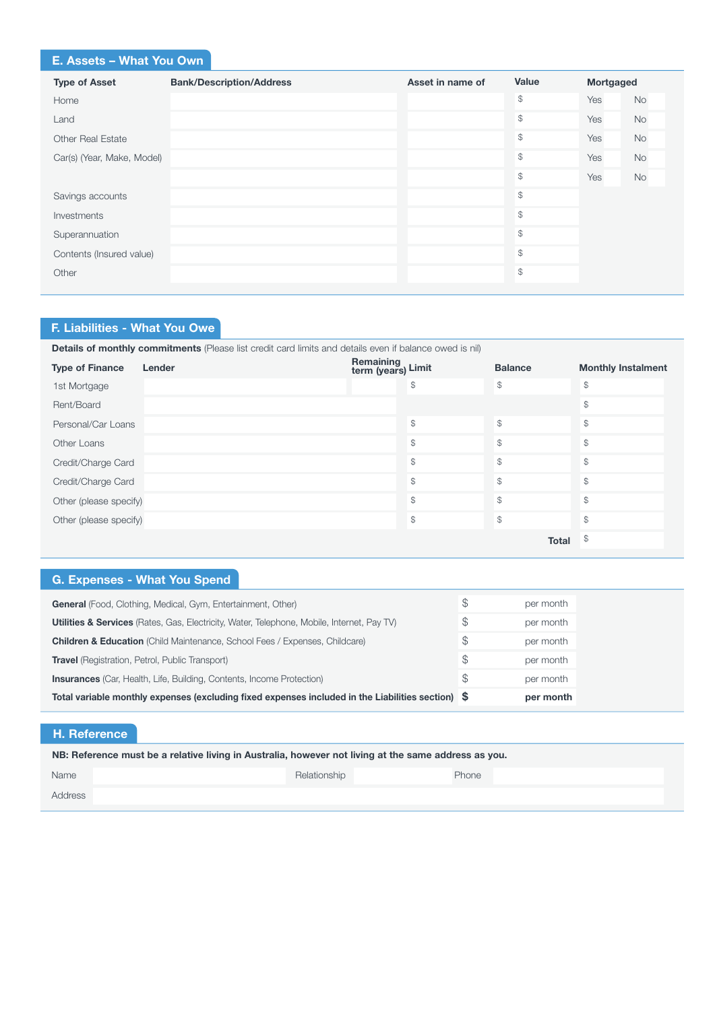# E. Assets – What You Own

| <b>Type of Asset</b>       | <b>Bank/Description/Address</b> | Asset in name of | Value          | Mortgaged |           |
|----------------------------|---------------------------------|------------------|----------------|-----------|-----------|
| Home                       |                                 |                  | \$             | Yes       | <b>No</b> |
| Land                       |                                 |                  | \$             | Yes       | No        |
| <b>Other Real Estate</b>   |                                 |                  | $$\mathbb{S}$$ | Yes       | No        |
| Car(s) (Year, Make, Model) |                                 |                  | \$             | Yes       | <b>No</b> |
|                            |                                 |                  | \$             | Yes       | No        |
| Savings accounts           |                                 |                  | \$             |           |           |
| Investments                |                                 |                  | \$             |           |           |
| Superannuation             |                                 |                  | \$             |           |           |
| Contents (Insured value)   |                                 |                  | \$             |           |           |
| Other                      |                                 |                  | \$             |           |           |
|                            |                                 |                  |                |           |           |

# F. Liabilities - What You Owe

| <b>Details of monthly commitments</b> (Please list credit card limits and details even if balance owed is nil) |        |                                 |                |                           |  |  |  |  |
|----------------------------------------------------------------------------------------------------------------|--------|---------------------------------|----------------|---------------------------|--|--|--|--|
| <b>Type of Finance</b>                                                                                         | Lender | Remaining<br>term (years) Limit | <b>Balance</b> | <b>Monthly Instalment</b> |  |  |  |  |
| 1st Mortgage                                                                                                   |        | \$                              | $\mathcal{S}$  | $\mathcal{L}$             |  |  |  |  |
| Rent/Board                                                                                                     |        |                                 |                | \$                        |  |  |  |  |
| Personal/Car Loans                                                                                             |        | \$                              | $\mathcal{L}$  | $\mathcal{L}$             |  |  |  |  |
| Other Loans                                                                                                    |        | \$                              | $\mathbb{S}$   | $\mathcal{L}$             |  |  |  |  |
| Credit/Charge Card                                                                                             |        | \$                              | $\mathbb{S}$   | $\mathcal{L}$             |  |  |  |  |
| Credit/Charge Card                                                                                             |        | \$                              | $\mathcal{S}$  | $\mathcal{L}$             |  |  |  |  |
| Other (please specify)                                                                                         |        | \$                              | $\mathbb{S}$   | $\mathcal{L}$             |  |  |  |  |
| Other (please specify)                                                                                         |        | \$                              | $\mathcal{S}$  | $\mathcal{L}$             |  |  |  |  |
|                                                                                                                |        |                                 | <b>Total</b>   | \$                        |  |  |  |  |

# G. Expenses - What You Spend

| <b>General</b> (Food, Clothing, Medical, Gym, Entertainment, Other)                                   | S   | per month |
|-------------------------------------------------------------------------------------------------------|-----|-----------|
| <b>Utilities &amp; Services</b> (Rates, Gas, Electricity, Water, Telephone, Mobile, Internet, Pay TV) |     | per month |
| <b>Children &amp; Education</b> (Child Maintenance, School Fees / Expenses, Childcare)                |     | per month |
| S.<br><b>Travel</b> (Registration, Petrol, Public Transport)                                          |     | per month |
| <b>Insurances</b> (Car, Health, Life, Building, Contents, Income Protection)                          | \$. | per month |
| Total variable monthly expenses (excluding fixed expenses included in the Liabilities section) \$     |     | per month |

# H. Reference

| NB: Reference must be a relative living in Australia, however not living at the same address as you. |              |       |  |  |  |  |  |
|------------------------------------------------------------------------------------------------------|--------------|-------|--|--|--|--|--|
| Name                                                                                                 | Relationship | Phone |  |  |  |  |  |
| Address                                                                                              |              |       |  |  |  |  |  |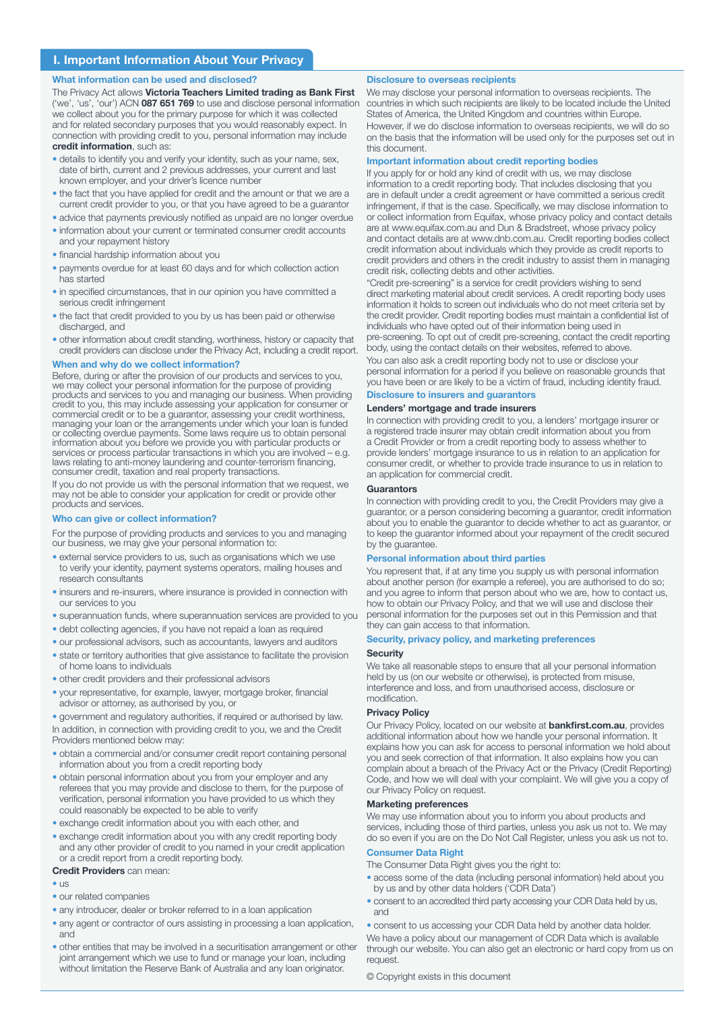### I. Important Information About Your Privacy

#### What information can be used and disclosed?

The Privacy Act allows Victoria Teachers Limited trading as Bank First ('we', 'us', 'our') ACN 087 651 769 to use and disclose personal information we collect about you for the primary purpose for which it was collected and for related secondary purposes that you would reasonably expect. In connection with providing credit to you, personal information may include credit information, such as:

- details to identify you and verify your identity, such as your name, sex, date of birth, current and 2 previous addresses, your current and last known employer, and your driver's licence numbe
- the fact that you have applied for credit and the amount or that we are a current credit provider to you, or that you have agreed to be a guarantor
- advice that payments previously notified as unpaid are no longer overdue
- information about your current or terminated consumer credit accounts and your repayment history
- financial hardship information about you
- payments overdue for at least 60 days and for which collection action has started
- in specified circumstances, that in our opinion you have committed a serious credit infringement
- the fact that credit provided to you by us has been paid or otherwise discharged, and
- other information about credit standing, worthiness, history or capacity that credit providers can disclose under the Privacy Act, including a credit report.

#### When and why do we collect information?

Before, during or after the provision of our products and services to you, we may collect your personal information for the purpose of providing products and services to you and managing our business. When providing credit to you, this may include assessing your application for consumer or commercial credit or to be a guarantor, assessing your credit worthiness, managing your loan or the arrangements under which your loan is funded or collecting overdue payments. Some laws require us to obtain personal information about you before we provide you with particular products or services or process particular transactions in which you are involved – e.g. laws relating to anti-money laundering and counter-terrorism financing, consumer credit, taxation and real property transactions.

If you do not provide us with the personal information that we request, we may not be able to consider your application for credit or provide other products and services.

#### ho can give or collect information?

For the purpose of providing products and services to you and managing our business, we may give your personal information to:

- external service providers to us, such as organisations which we use to verify your identity, payment systems operators, mailing houses and research consultants
- insurers and re-insurers, where insurance is provided in connection with our services to you
- superannuation funds, where superannuation services are provided to you
- debt collecting agencies, if you have not repaid a loan as required
- our professional advisors, such as accountants, lawyers and auditors
- state or territory authorities that give assistance to facilitate the provision of home loans to individuals
- other credit providers and their professional advisors
- your representative, for example, lawyer, mortgage broker, financial advisor or attorney, as authorised by you, or

• government and regulatory authorities, if required or authorised by law. In addition, in connection with providing credit to you, we and the Credit Providers mentioned below may:

- obtain a commercial and/or consumer credit report containing personal information about you from a credit reporting body
- obtain personal information about you from your employer and any referees that you may provide and disclose to them, for the purpose of verification, personal information you have provided to us which they could reasonably be expected to be able to verify
- exchange credit information about you with each other, and
- exchange credit information about you with any credit reporting body and any other provider of credit to you named in your credit application or a credit report from a credit reporting body.

### Credit Providers can mean:

- $\bullet$   $\overline{118}$
- our related companies
- any introducer, dealer or broker referred to in a loan application
- any agent or contractor of ours assisting in processing a loan application, and
- other entities that may be involved in a securitisation arrangement or other joint arrangement which we use to fund or manage your loan, including without limitation the Reserve Bank of Australia and any loan originator.

#### Disclosure to overseas recipients

We may disclose your personal information to overseas recipients. The countries in which such recipients are likely to be located include the United States of America, the United Kingdom and countries within Europe. However, if we do disclose information to overseas recipients, we will do so on the basis that the information will be used only for the purposes set out in this document.

#### Important information about credit reporting bodies

If you apply for or hold any kind of credit with us, we may disclose information to a credit reporting body. That includes disclosing that you are in default under a credit agreement or have committed a serious credit infringement, if that is the case. Specifically, we may disclose information to or collect information from Equifax, whose privacy policy and contact details are at www.equifax.com.au and Dun & Bradstreet, whose privacy policy and contact details are at www.dnb.com.au. Credit reporting bodies collect credit information about individuals which they provide as credit reports to credit providers and others in the credit industry to assist them in managing credit risk, collecting debts and other activities.

"Credit pre-screening" is a service for credit providers wishing to send direct marketing material about credit services. A credit reporting body uses information it holds to screen out individuals who do not meet criteria set by the credit provider. Credit reporting bodies must maintain a confidential list of individuals who have opted out of their information being used in pre-screening. To opt out of credit pre-screening, contact the credit reporting body, using the contact details on their websites, referred to above.

You can also ask a credit reporting body not to use or disclose your personal information for a period if you believe on reasonable grounds that you have been or are likely to be a victim of fraud, including identity fraud.

# Disclosure to insurers and guarantors

Lenders' mortgage and trade insurers In connection with providing credit to you, a lenders' mortgage insurer or a registered trade insurer may obtain credit information about you from a Credit Provider or from a credit reporting body to assess whether to provide lenders' mortgage insurance to us in relation to an application for consumer credit, or whether to provide trade insurance to us in relation to an application for commercial credit.

#### **Guarantors**

In connection with providing credit to you, the Credit Providers may give a guarantor, or a person considering becoming a guarantor, credit information about you to enable the guarantor to decide whether to act as guarantor, or to keep the guarantor informed about your repayment of the credit secured by the guarantee.

#### Personal information about third parties

You represent that, if at any time you supply us with personal information about another person (for example a referee), you are authorised to do so; and you agree to inform that person about who we are, how to contact us, how to obtain our Privacy Policy, and that we will use and disclose their personal information for the purposes set out in this Permission and that they can gain access to that information.

#### Security, privacy policy, and marketing preferences

#### Security

We take all reasonable steps to ensure that all your personal information held by us (on our website or otherwise), is protected from misuse, interference and loss, and from unauthorised access, disclosure or modification.

#### Privacy Policy

Our Privacy Policy, located on our website at **bankfirst.com.au**, provides additional information about how we handle your personal information. It explains how you can ask for access to personal information we hold about you and seek correction of that information. It also explains how you can complain about a breach of the Privacy Act or the Privacy (Credit Reporting) Code, and how we will deal with your complaint. We will give you a copy of our Privacy Policy on request.

#### Marketing preferences

We may use information about you to inform you about products and services, including those of third parties, unless you ask us not to. We may do so even if you are on the Do Not Call Register, unless you ask us not to.

#### Consumer Data Right

The Consumer Data Right gives you the right to:

- access some of the data (including personal information) held about you by us and by other data holders ('CDR Data')
- consent to an accredited third party accessing your CDR Data held by us, and

• consent to us accessing your CDR Data held by another data holder. We have a policy about our management of CDR Data which is available through our website. You can also get an electronic or hard copy from us on request.

© Copyright exists in this document